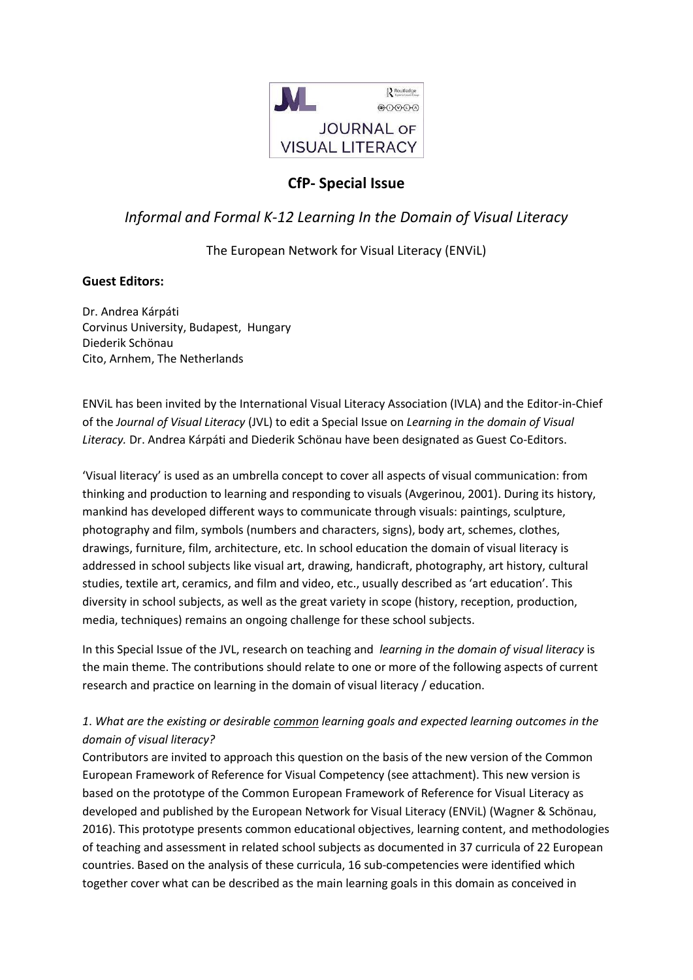

## **CfP- Special Issue**

# *Informal and Formal K-12 Learning In the Domain of Visual Literacy*

### The European Network for Visual Literacy (ENViL)

### **Guest Editors:**

Dr. Andrea Kárpáti Corvinus University, Budapest, Hungary Diederik Schönau Cito, Arnhem, The Netherlands

ENViL has been invited by the International Visual Literacy Association (IVLA) and the Editor-in-Chief of the *Journal of Visual Literacy* (JVL) to edit a Special Issue on *Learning in the domain of Visual Literacy.* Dr. Andrea Kárpáti and Diederik Schönau have been designated as Guest Co-Editors.

'Visual literacy' is used as an umbrella concept to cover all aspects of visual communication: from thinking and production to learning and responding to visuals (Avgerinou, 2001). During its history, mankind has developed different ways to communicate through visuals: paintings, sculpture, photography and film, symbols (numbers and characters, signs), body art, schemes, clothes, drawings, furniture, film, architecture, etc. In school education the domain of visual literacy is addressed in school subjects like visual art, drawing, handicraft, photography, art history, cultural studies, textile art, ceramics, and film and video, etc., usually described as 'art education'. This diversity in school subjects, as well as the great variety in scope (history, reception, production, media, techniques) remains an ongoing challenge for these school subjects.

In this Special Issue of the JVL, research on teaching and *learning in the domain of visual literacy* is the main theme. The contributions should relate to one or more of the following aspects of current research and practice on learning in the domain of visual literacy / education.

## *1*. *What are the existing or desirable common learning goals and expected learning outcomes in the domain of visual literacy?*

Contributors are invited to approach this question on the basis of the new version of the Common European Framework of Reference for Visual Competency (see attachment). This new version is based on the prototype of the Common European Framework of Reference for Visual Literacy as developed and published by the European Network for Visual Literacy (ENViL) (Wagner & Schönau, 2016). This prototype presents common educational objectives, learning content, and methodologies of teaching and assessment in related school subjects as documented in 37 curricula of 22 European countries. Based on the analysis of these curricula, 16 sub-competencies were identified which together cover what can be described as the main learning goals in this domain as conceived in